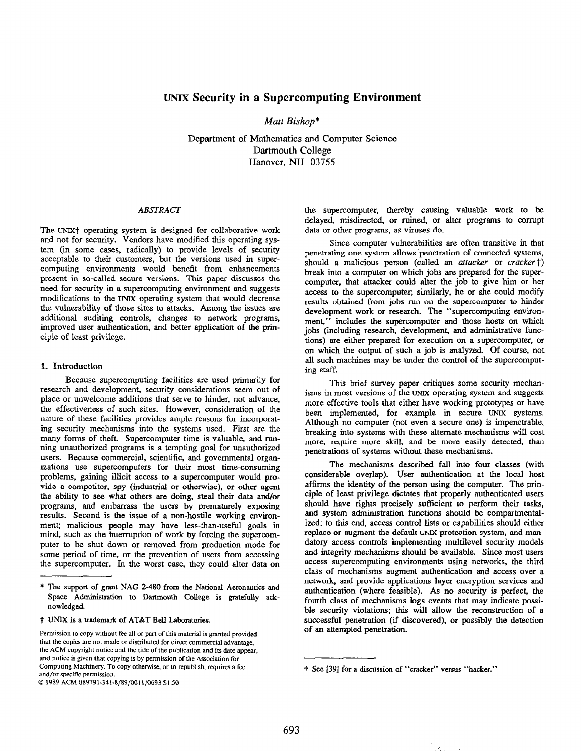# UNIX Security in a Supercomputing Environment

# Matt Bishop\*

Department of Mathematics and Computer Science Dartmouth College Hanover, NH 03755

#### ABSTRACT

The UNIX<sup>+</sup> operating system is designed for collaborative work and not for security. Vendors have modified this operating system (in some cases, radically) to provide levels of security acceptable to their customers, but the versions used in supercomputing environments would benefit from enhancements present in so-called secure versions. This paper discusses the need for security in a supercomputing environment and suggests modifications to the UNIX operating system that would decrease the vulnerability of those sites to attacks. Among the issues are additional auditing controls, changes to network programs, improved user authentication, and better application of the principle of least privilege.

#### 1. Introduction

Because supercomputing facilities are used primarily for research and development, security considerations seem out of place or unwelcome additions that serve to hinder, not advance, the effectiveness of such sites. However, consideration of the nature of these facilities provides ample reasons for incorporating security mechanisms into the systems used. First are the many forms of theft. Supercomputer time is valuable, and running unauthorized programs is a tempting goal for unauthorized users. Because commercial, scientific, and governmental organizations use supercomputers for their most time-consuming problems, gaining illicit access to a supercomputer would provide a competitor, spy (industrial or otherwise), or other agent the ability to see what others are doing, steal their data and/or programs, and embarrass the users by prematurely exposing results. Second is the issue of a non-hostile working environment: malicious people may have less-than-useful goals in mind, such as the interruption of work by forcing the supercomputer to be shut down or removed from production mode for some period of time, or the prevention of users from accessing the supercomputer. In the worst case, they could alter data on

the supercomputer, thereby causing valuable work to be delayed, misdirected, or ruined, or alter programs to corrupt data or other programs, as viruses do.

Since computer vulnerabilities are often transitive in that penetrating one system allows 'penetration of connected systems, should a malicious person (called an *attacker* or *cracker* $\dagger$ ) break into a computer on which jobs are prepared for the supercomputer, that attacker could alter the job to give him or her access to the supercomputer; similarly, he or she could modify results obtained from jobs run on the supercomputer to hinder development work or research. The "supercomputing environment," includes the supercomputer and those hosts on which jobs (including research, development, and administrative functions) are either prepared for execution on a supercomputer, or on which the output of such a job is analyzed. Of course, not all such machines may be under the control of the supercomputing staff.

This brief survey paper critiques some security mechanisms in most versions of the UNIX operating system and suggests more effective tools that either have working prototypes or have been implemented, for example in secure UNIX systems. Although no computer (not even a secure one) is impenetrable, breaking into systems with these alternate mechanisms will cost more, require more skill, and be more easily detected, than penetrations of systems without these mechanisms.

The mechanisms described fall into four classes (with considerable overlap). User authentication at the local host affirms the identity of the person using the computer. The principle of least privilege dictates that properly authenticated users should have rights precisely sufficient to perform their tasks, and system administration functions should be compartmentalized; to this end, access control lists or capabilities should either replace or augment the default UNIX protection system, and mandatory access controls implementing multilevel security models and integrity mechanisms should be available. Since most users access supercomputing environments using networks, the third class of mechanisms augment authentication and access over a network, and provide applications layer encryption services and authentication (where feasible). As no security is perfect, the fourth class of mechanisms logs events that may indicate possible security violations; this will allow the reconstruction of a successful penetration (if discovered), or possibly the detection of an attempted penetration.

 $\sim 100$ 

<sup>\*</sup> The support of grant NAG 2-480 from the National Aeronautics and Space Administration to Dartmouth College is gratefully acknowledged.

i UNIX is a trademark of AT&T Bell Laboratories.

Permission to copy without fee all or part of this material is granted provided that the copies are not made or distributed for direct commercial advantage, the ACM copyright notice and the title of the publication and its date appear, and notice is given that copying is by permission of the Association for Computing Machinery. To copy otherwise, or to republish, requires a fee and/or specific permission.

<sup>0 1989</sup> ACM 089791-341-8/89/001 l/O693 \$1.50

t See [39] for a discussion of "cracker" versus "hacker."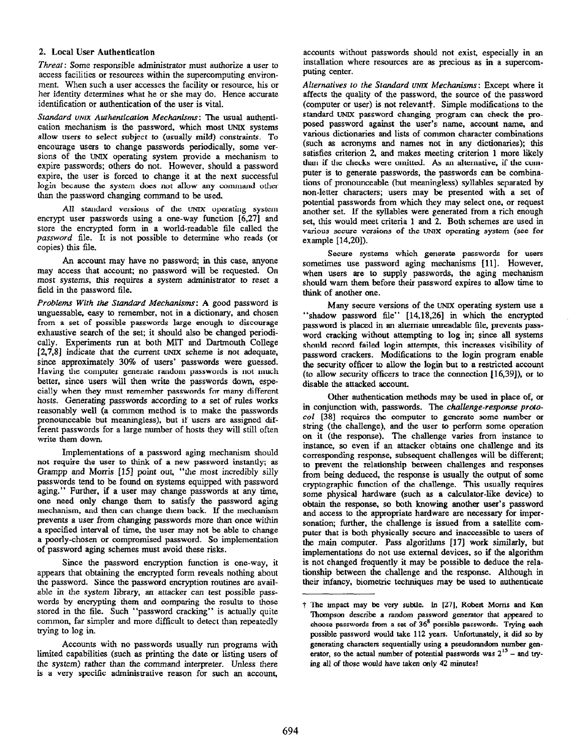### 2. Local User Authentication

Threat: Some responsible administrator must authorize a user to access facilities or resources within the supercomputing environment. When such a user accesses the facility or resource, his or her identity determines what he or she may do, Hence accurate identification or authentication of the user is vital.

Standard UNIX Authentication Mechanisms: The usual authentication mechanism is the password, which most UNIX systems allow users to select subject to (usually mild) constraints. To encourage users to change passwords periodically, some versions of the UNIX operating system provide a mechanism to expire passwords; others do not. However, should a password expire, the user is forced to change it at the next successful login because the system does not allow any command other than the password changing command to be used

All standard versions of the UNIX operating system encrypt user passwords using a one-way function  $[6,27]$  and store the encrypted form in a world-readable file called the password file. It is not possible to determine who reads (or copies) this file.

An account may have no password; in this case, anyone may access that account; no password will be requested. On most systems, this requires a system administrator to reset a field in the password file.

Problems With the Standard Mechanisms: A good password is unguessable, easy to remember, not in a dictionary, and chosen from a set of possible passwords large enough to discourage exhaustive search of the set; it should also be changed periodicalIy. Experiments run at both MIT and Dartmouth College  $[2,7,8]$  indicate that the current UNIX scheme is not adequate, since approximately 30% of users' passwords were guessed. Having the computer generate random passwords is not much better, since users will then write the passwords down, especially when they must remember passwords for many different hosts. Generating passwords according to a set of rules works reasonably well (a common method is to make the passwords pronounceable but meaningless), but if users are assigned different passwords for a large number of hosts they will still often write them down.

Implementations of a password aging mechanism should not require the user to think of a new password instantly; as Grampp and Morris [15] point out, "the most incredibly silly passwords tend to be found on systems equipped with password aging." Further, if a user may change passwords at any time. one need only change them to satisfy the password aging mechanism, and then can change them back. If the mechanism prevents a user from changing passwords more than once within a specified interval of time, the user may not be able to change a Poorly-chosen or compromised password. So implementation of password aging schemes must avoid these risks.

Since the password encryption function is one-way, it appears that obtaining the encrypted form reveals nothing about the password. Since the password encryption routines are available in the system library, an attacker can test possible passwords by encrypting them and comparing the results to those stored in the file. Such "password cracking" is actually quite common, far simpler and more difficult to detect than repeatedly trying to log in.

Accounts with no passwords usually run programs with limited capabilities (such as printing the date or listing users of the system) rather than the command interpreter. Unless there is a very specific administrative reason for such an account,

accounts without passwords should not exist, especially in an installation where resources are as precious as in a supercomputing center.

Alternatives to the Standard UNIX Mechanisms: Except where it affects the quality of the password, the source of the password (computer or user) is not relevant†. Simple modifications to the standard UNIX password changing program can check the proposed password against the user's name, account name, and various dictionaries and lists of common character combinations (such as acronyms and names not in any dictionaries); this satisfies criterion 2, and makes meeting criterion 1 more likely than if the checks were omitted. As an alternative, if the computer is to generate passwords, the passwords can be combinations of pronounceable (but meaningless) syllables separated by non-letter characters; users may be presented with a set of potential passwords from which they may select one, or request another set. If the syllables were generated from a rich enough set, this would meet criteria 1 and 2. Both schemes are used in various secure versions of the UNJX operating system (see for example [14.20]).

Secure systems which generate passwords for users sometimes use password aging mechanisms [11]. However, when users are to supply passwords, the aging mechanism should warn them before their password expires to allow time to think of another one.

Many secure versions of the UNIX operating system use a "shadow password file" [14,18,26] in which the encrypted password is placed in an alternate unreadable file, prevents password cracking without attempting to log in, since all systems should record failed login attempts, this increases visibility of password crackers. Modifications to the Iogin program enable the security officer to allow the login but to a restricted account (to allow security officers to trace the connection [16,39]), or to disable the attacked account.

Other authentication methods may be used in place of, or in conjunction with, passwords. The challenge-response protocol [38] requires the computer to generate some number or string (the challenge), and the user to perform some operation on it (the response). The challenge varies from instance to instance, so even if an attacker obtains one challenge and its corresponding response, subsequent challenges will be different; to prevent the relationship between challenges and responses from being deduced, the response is usually the output of some cryptographic function of the challenge. This usually requires some physical hardware (such as a calculator-like device) to obtain the response, so both knowing another user's password and access to the appropriate hardware are necessary for impersonation; further, the challenge is issued from a satellite computer that is both physically secure and inaccessible to users of the main computer. Pass algorithms [17] work similarly, but implementations do not use external devices, so if the algorithm is not changed frequently it may be possible to deduce the relationship between the challenge and the response. Although in their infancy, biometric techniques may be used to authenticate

 $\dagger$  The impact may be very subtle. In [27], Robert Morns and Ken Thompson describe a random password generator that appeared to choose passwords from a set of 36<sup>8</sup> possible passwords. Trying each possible password would take 112 years. Unfortunately, it did so by generating characters sequentially using a pseudorandom number generator, so the actual number of potential passwords was  $2^{15}$  - and trying all of those would have taken only 42 minutes!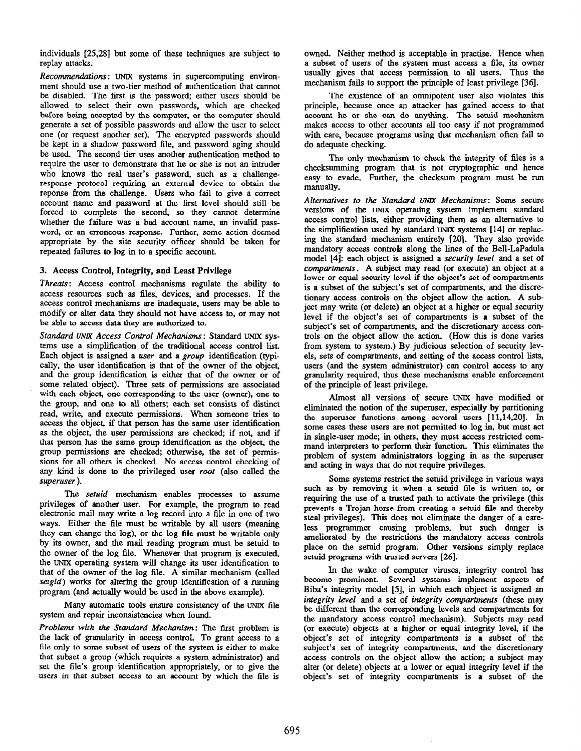individuals [25,28] but some of these techniques are subject to replay attacks.

Recommendations: UNIX systems in supercomputing environment should use a two-tier method of authentication that cannot be disabled. The first is the password; either users should be allowed to select their own passwords, which are checked before being accepted by the computer. or the computer should generate a set of possible passwords and allow the user to select one (or request another set). The encrypted passwords should be kept in a shadow password file, and password aging should be used. The second tier uses another authentication method to require the user to demonstrate that he or she is not an intruder who knows the real user's password, such as a challengeresponse protocol requiring an external device to obtain the reponse from the challenge. Users who fail to give a correct account name and password at the first level should still be forced to complete the second, so they cannot determine whether the failure was a bad account name, an invalid password, or an erroneous response. Further, some action deemed appropriate by the site security officer should be taken for repeated failures to log in to a specific account.

## 3. Access Control, Integrity, and Least Privilege

Threats: Access control mechanisms regulate the ability to access resources such as files, devices, and processes. If the access control mechanisms are inadequate, users may be able to modify or alter data they should not have access to, or may not be able to access data they are authorized to.

Standard UNIX Access Control Mechanisms: Standard UNIX systems use a simplification of the traditional access control list. Each object is assigned a user and a group identification (typically, the user identification is that of the owner of the object, and the group identification is either that of the owner or of some related object). Three sets of permissions are associated with each object, one corresponding to the user (owner), one to the group, and one to all others; each set consists of distinct read, write, and execute permissions. When someone tries to access the object, if that person has the same user identification as the object, the user permissions are checked, if not, and if that person has the same group identification as the object, the group permissions are checked; otherwise, the set of permissions for all others is checked. No access control checking of any kind is done to the privileged user root (also called the superuser ).

The setuid mechanism enables processes to assume privileges of another user. For example, the program to read electronic mall may write a log record into a file in one of two ways. Either the file must be writable by all users (meaning they can change the log), or the log file must be writable only by its owner, and the mail reading program must be setuid to the owner of the log file. Whenever that program is executed, the UNIX operating system will change its user identification to that of the owner of the log file. A similar mechanism (called setgid) works for altering the group identification of a running program (and actually would be used in the above example).

Many automatic tools ensure consistency of the UNIX file system and repair inconsistencies when found.

Problems with the Standard Mechanism: The first problem is the lack of granularity in access control. To grant access to a file only to some subset of users of the system is either to make that subset a group (which requires a system administrator) and set the file's group identification appropriately, or to give the users in that subset access to an account by which the file is

owned. Neither method is acceptable in practise. Hence when a subset of users of the system must access a file, its owner usually gives that access permission to all users. Thus the mechanism fails to support the principle of least privilege [36].

The existence of an omnipotent user also violates this principle, because once an attacker has gained access to that account he or she can do anything. The setuid mechanism makes access to other accounts all too easy if not programmed with care, because programs using that mechanism often fail to do adequate checking.

The only mechanism to check the integrity of files is a checksumming program that is not cryptographic and hence easy to evade, Further, the checksum program must be run manually.

Alternatives to the Standard UNIX Mechanisms: Some secure versions of the UNIX operating system implement standard access control lists, either providing them as an alternative to the simplification used by standard UNIX systems [14] or replacing the standard mechanism entirely [20]. They also provide mandatory access controls along the lines of the Bell-LaPadula model [4]: each object is assigned a *security level* and a set of compartments. A subject may read (or execute) an object at a lower or equal security level if the object's set of compartments is a subset of the subject's set of compartments, and the discretionary access controls on the object allow the action. A subject may write (or delete) an object at a higher or equal security level if the object's set of compartments is a subset of the subject's set of compartments, and the discretionary access controls on the object allow the action. (How this is done varies from system to system.) By judicious selection of security levels, sets of compartments, and setting of the access control lists, users (and the system administrator) can control access to any granularity required, thus these mechanisms enable enforcement of the principle of least privilege.

Almost all versions of secure UNIX have modified or eliminated the notion of the superuser, especially by partitioning the superuser functions among several users [ 11,14,20]. In some cases these users are not permitted to log in, but must act in single-user mode; in others, they must access restricted command interpreters to perform their function. This eliminates the problem of system administrators logging in as the superuser and acting in ways that do not require privileges.

Some systems restrict the setuid privilege in various ways such as by removing it when a setuid file is written to, or requiring the use of a trusted path to activate the privilege (this prevents a Trojan horse from creating a setuid file and thereby steal privileges). This does not eliminate the danger of a careless programmer causing problems, but such danger is ameliorated by the restrictions the mandatory access controls place on the setuid program. Other versions simply replace setuid programs with trusted servers [26].

In the wake of computer viruses, integrity control has become prominent. Several systems implement aspects of Biba's integrity model [5], in which each object is assigned an integrity level and a set of integrity compartments (these may be different than the corresponding levels and compartments for the mandatory access control mechanism). Subjects may read (or execute) objects at a higher or equal integrity level, if the object's set of integrity compartments is a subset of the subject's set of integrity compartments, and the discretionary access controls on the object allow the action; a subject may alter (or delete) objects at a lower or equal integrity level if the object's set of integrity compartments is a subset of the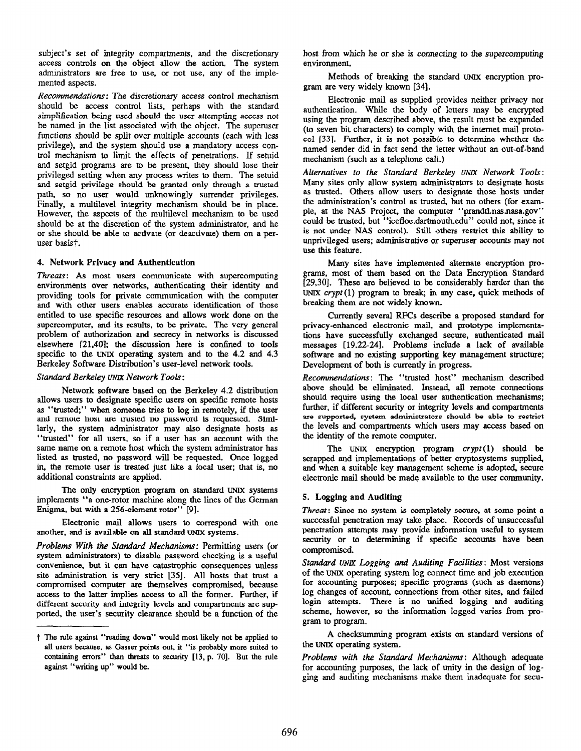subject's set of integrity compartments, and the discretionary access controls on the object allow the action. The system administrators are free to use, or not use, any of the implemented aspects.

Recommendations: The discretionary access control mechanism should be access control lists, perhaps with the standard simplification being used should the user attempting access not be named in the list associated with the object. The superuser functions should be split over multiple accounts (each with less privilege), and the system should use a mandatory access control mechanism to limit the effects of penetrations. If setuid and setgid programs are to be present, they should lose their privileged setting when any process writes to them. The setuid and setgid privilege should be granted only through a trusted path, so no user would unknowingly surrender privileges. Finally, a multilevel integrity mechanism should be in place. However, the aspects of the multilevel mechanism to be used should be at the discretion of the system administrator, and he or she should be able to activate (or deactivate) them on a peruser basist.

### 4. Network Privacy and Authentication

Threats: As most users communicate with supercomputing environments over networks, authenticating their identity and providing tools for private communication with the computer and with other users enables accurate identification of those entitled to use specific resources and allows work done on the supercomputer, and its results, to be private. The very general problem of authorization and secrecy in networks is discussed elsewhere [21,40]; the discussion here is confined to tools specific to the UNIX operating system and to the 4.2 and 4.3 Berkeley Software Distribution's user-level network tools.

#### Standard Berkeley UNIX Network Tools:

Network software based on the Berkeley 4.2 distribution allows users to designate specific users on specific remote hosts as "trusted;" when someone tries to log in remotely, if the user and remote host are trusted no password is requested. Similarly, the system administrator may also designate hosts as "trusted" for all users, so if a user has an account with the same name on a remote host which the system administrator has listed as trusted, no password will be requested. Once logged in, the remote user is treated just like a local user; that is, no additional constraints are applied.

The only encryption program on standard UNIX systems implements "a one-rotor machine along the lines of the German Enigma, but with a 256-clement rotor" [9].

Electronic mail allows users to correspond with one another, and is available on all standard UNIX systems.

Problems With the Standard Mechanisms: Permitting users (or system administrators) to disable password checking is a useful convenience, but it can have catastrophic consequences unless site administration is very strict [35]. All hosts that trust a compromised computer are themselves compromised, because access to the latter implies access to all the former. Further, if different security and integrity levels and compartments are supported, the user's security clearance should be a function of the host from which he or she is connecting to the supercomputing environment.

Methods of breaking the standard UNIX encryption program are very widely known [34].

Electronic mail as supplied provides neither privacy nor authentication. While the body of letters may be encrypted using the program described above, the result must be expanded (to seven bit characters) to comply with the intemet mail protocol [33]. Further, it is not possible to determine whether the named sender did in fact send the letter without an out-of-band mechanism (such as a telephone call.)

Alternatives to the Standard Berkeley UNIX Network Tools: Many sites only allow system administrators to designate hosts as trusted. Others allow users to designate those hosts under the administration's control as trusted, but no others (for example, at the NAS Project, the computer "prandtl.nas.nasa.gov" could he trusted, but "icefloe.dartmouth.edu" could not. since it is not under NAS control). Still others restrict this ability to unprivileged users; administrative or superuser accounts may not use this feature.

Many sites have implemented alternate encryption programs, most of them based on the Data Encryption Standard [29,30]. These are believed to be considerably harder than the UNIX  $crypt(1)$  program to break; in any case, quick methods of breaking them are not widely known.

Currently several RFCs describe a proposed standard for privacy-enhanced electronic mail, and prototype implementations have successfully exchanged secure, authenticated mail messages [19,22-241. Problems include a lack of available software and no existing supporting key management structure; Development of both is currently in progress.

Recommendations: The "trusted host" mechanism described above should be eliminated. Instead, all remote connections should require using the local user authentication mechanisms; further, if different security or integrity levels and compartments are supported, system administrators should be able to restrict the levels and compartments which users may access based on the identity of the remote computex.

The UNIX encryption program  $crypt(1)$  should be scrapped and implementations of better cryptosystems supplied, and when a suitable key management scheme is adopted, secure electronic mail should be made available to the user community.

## 5. Logging and Auditing

Threat: Since no system is completely secure, at some point a successful penetration may take place. Records of unsuccessful penetration attempts may provide information useful to system security or to determining if specific accounts have been compromised.

Standard UNIX Logging and Auditing Facilities: Most versions of the UNIX operating system log connect time and job execution for accounting purposes; specific programs (such as daemons) log changes of account, connections from other sites, and failed login attempts. There is no unified logging and auditing scheme, however, so the information logged varies from program to program.

A checksumming program exists on standard versions of the UNIX operating system.

Problems with the Standard Mechanisms: Although adequate for accounting purposes, the lack of unity in the design of logging and auditing mechanisms make them inadequate for secu-

t The rule against "reading down" would most likely not be applied to all users because. as Gasser points out. it "is probably more suited to containing errors" than threats to security [13, p. 701. But the rule against "writing up" would he.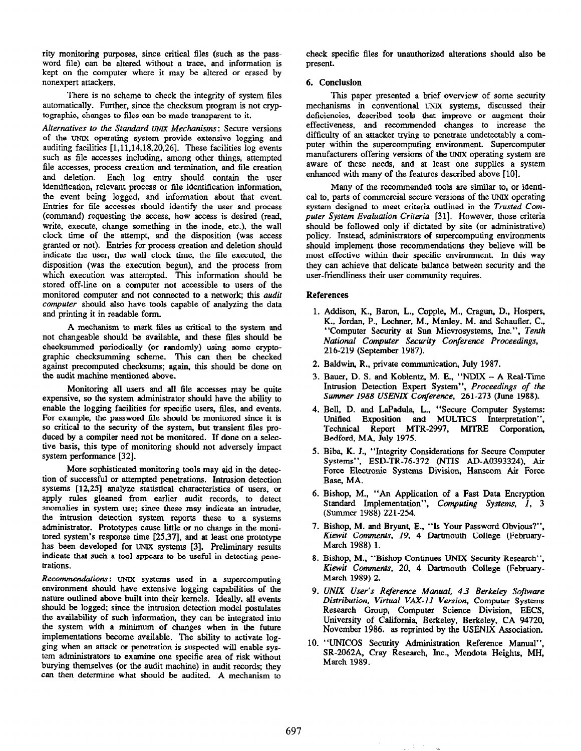rity monitoring purposes, since critical files (such as the password file) can be altered without a trace, and information is kept on the computer where it may be altered or erased by nonexpert attackers.

There is no scheme to check the integrity of system files automatically. Further, since the checksum program is not cryptographic, changes to files can be made transparent to it.

Alternatives to the Standard UNIX Mechanisms: Secure versions of the UNIX operating system provide extensive logging and auditing facilities [1,11,14,18,20,26]. These facilities log events such as file accesses including, among other things, attempted file accesses, process creation and termination, and file creation and deletion. Each log entry should contain the user identification. relevant process or file identification information, the event being logged, and information about that event. Entries for file accesses should identify the user and process (command) requesting the access, how access is desired (read, write, execute, change something in the inode, etc.), the wall clock time of the attempt, and the disposition (was access granted or not). Entries for process creation and deletion should indicate the user, the wall clock time, the file executed, the disposition (was the execution begun), and the process from which execution was attempted. This information should be stored off-line on a computer not accessible to users of the monitored computer and not connected to a network; this *audit* computer should also have tools capable of analyzing the data and printing it in readable form.

A mechanism to mark files as critical to the system and not changeable should be available, and these files should be checksummed periodically (or randomly) using some cryptographic checksumming scheme. This can then be checked against precomputed checksums; again, this should be done on the audit machine mentioned above.

Monitoring all users and all file accesses may be quite expensive, so the system administrator should have the ability to enable the logging facilities for specific users, tiles, and events. For example, the password file should be monitored since it is so critical to the security of the system, but transient files produced by a compiler need not be monitored. If done on a selective basis, this type of monitoring should not adversely impact system performance [32].

More sophisticated monitoring tools may aid in the detection of successful or attempted penetrations. Intrusion detection systems [12,25] analyze statistical characteristics of users, or apply rules gleaned from earlier audit records, to detect anomalies in system use; since these may indicate an intruder, the intrusion detection system reports these to a systems administrator. Prototypes cause little or no change in the monitored system's response time [25,37], and at least one prototype has been developed for UNIX systems [3]. Preliminary results indicate that such a tool appears to be useful in detecting penetrations.

Recommendations: UNIX systems used in a supercomputing environment should have extensive logging capabilities of the nature outlined above built into their kernels. Ideally, all events should be logged; since the intrusion detection model postulates the availability of such information, they can be integrated into the system with a minimum of changes when in the future implementations become available. The ability to activate logging when an attack or penetration is suspected will enable system administrators to examine one specific area of risk without burying themselves (or the audit machine) in audit records; they can then determine what should be audited. A mechanism to check specific files for unauthorized alterations should also be present.

### 6. Conclusion

This paper presented a brief overview of some security mechanisms in conventional UNIX systems, discussed their deficiencies, described tools that improve or augment their effectiveness, and recommended changes to increase the difficulty of an attacker trying to penetrate undetectably a computer within the supercomputing environment. Supercomputer manufacturers offering versions of the UNIX operating system are aware of these needs, and at least one supplies a system enhanced with many of the features described above [10].

Many of the recommended tools are similar to, or identical to, parts of commercial secure versions of the UNIX operating system designed to meet criteria outlined in the Trusted Computer System Evaluation Criteria [31]. However, those criteria should be followed only if dictated by site (or administrative) policy. Instead, administrators of supercomputing environments should implement those recommendations they believe will be most effective within their specific environment. In this way they can achieve that delicate balance between security and the user-friendliness their user community requires.

### References

- 1. Addison, K., Baron, L., Copple, M., Cragun, D., Hospers, K., Jordan, P., Lechner, M., Manley, M. and Schaufler, C., "Computer Security at Sun Micvrosystems, Inc.", Tenth National Computer Security Conference Proceedings, 216-219 (September 1987).
- 2. Baldwin, R., private communication, July 1987.
- 3. Bauer, D. S. and Koblentz, M. E.,  $\cdot$ NDIX A Real-Time Intrusion Detection Expert System", Proceedings of the Summer 1988 USENlX Conference, 261-273 (June 1988).
- 4. Bell, D. and LaPadula, L.. "Secure Computer Systems: Unified Exposition and MULTICS Interpretation", Technical Report MTR-2997, MITRE Corporation, Bedford, MA, July 1975.
- 5. Biba, K. J., "Integrity Considerations for Secure Computer Systems' ', ESD-TR-76-372 (NTIS AD-A0393324), Air Force Electronic Systems Division, Hanscom Air Force Base, MA.
- 6. Bishop, M., "An Application of a Fast Data Encryption Standard Implementation", Computing Systems, 1, 3 (Summer 1988) 221-254.
- 7. Bishop, M. and Bryant, E.. "Is Your Password Obvious?". Kiewit Comments, 19, 4 Dartmouth College (February-March 1988) 1.
- 8. Bishop, M., "Bishop Continues UNIX Security Research", Kiewit Comments, 20, 4 Dartmouth College (February-March 1989) 2.
- 9. UNIX User's Reference Manual, 4.3 Berkeley Sofware Distribution, Virtual VAX-11 Version, Computer Systems Research Group, Computer Science Division, EECS, University of California, Berkeley, Berkeley, CA 94720, November 1986. as reprinted by the USENlX Association.
- 10. "UNICOS Security Administration Reference Manual", SR-2062A, Cray Research, Inc., Mendota Heights, MH, March 1989.

 $\sim$   $\sim$  $\sim 100$ 

 $\sim 100$  km  $^{-1}$